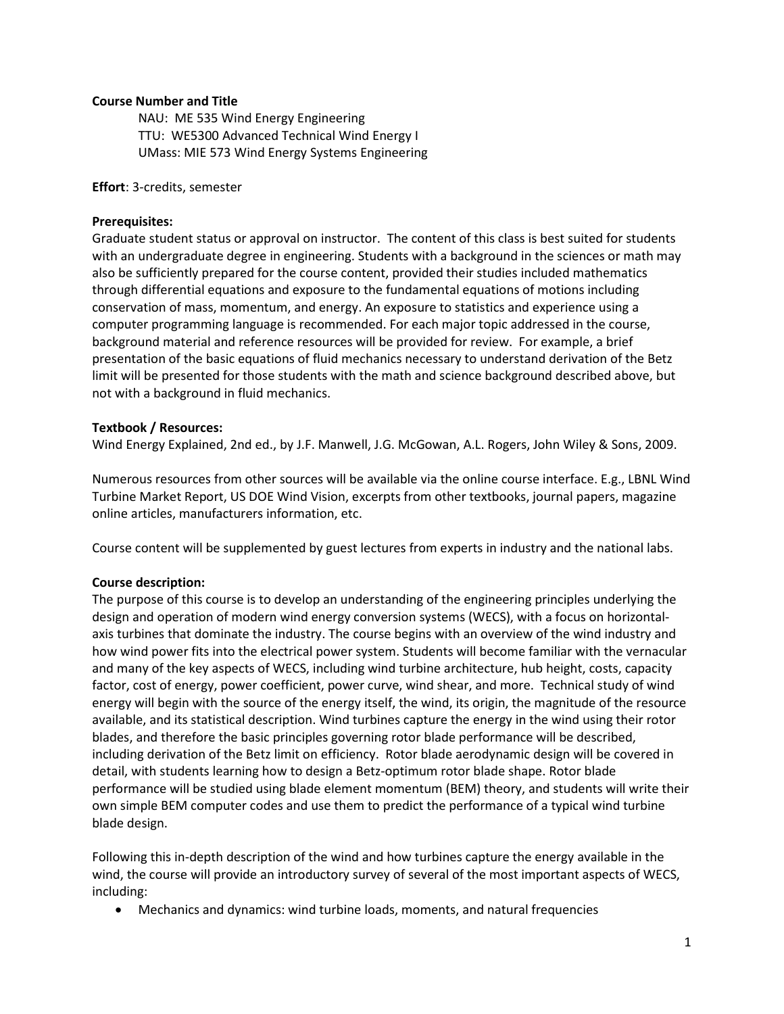## Course Number and Title

NAU: ME 535 Wind Energy Engineering TTU: WE5300 Advanced Technical Wind Energy I UMass: MIE 573 Wind Energy Systems Engineering

#### Effort: 3-credits, semester

#### Prerequisites:

Graduate student status or approval on instructor. The content of this class is best suited for students with an undergraduate degree in engineering. Students with a background in the sciences or math may also be sufficiently prepared for the course content, provided their studies included mathematics through differential equations and exposure to the fundamental equations of motions including conservation of mass, momentum, and energy. An exposure to statistics and experience using a computer programming language is recommended. For each major topic addressed in the course, background material and reference resources will be provided for review. For example, a brief presentation of the basic equations of fluid mechanics necessary to understand derivation of the Betz limit will be presented for those students with the math and science background described above, but not with a background in fluid mechanics.

#### Textbook / Resources:

Wind Energy Explained, 2nd ed., by J.F. Manwell, J.G. McGowan, A.L. Rogers, John Wiley & Sons, 2009.

Numerous resources from other sources will be available via the online course interface. E.g., LBNL Wind Turbine Market Report, US DOE Wind Vision, excerpts from other textbooks, journal papers, magazine online articles, manufacturers information, etc.

Course content will be supplemented by guest lectures from experts in industry and the national labs.

## Course description:

The purpose of this course is to develop an understanding of the engineering principles underlying the design and operation of modern wind energy conversion systems (WECS), with a focus on horizontalaxis turbines that dominate the industry. The course begins with an overview of the wind industry and how wind power fits into the electrical power system. Students will become familiar with the vernacular and many of the key aspects of WECS, including wind turbine architecture, hub height, costs, capacity factor, cost of energy, power coefficient, power curve, wind shear, and more. Technical study of wind energy will begin with the source of the energy itself, the wind, its origin, the magnitude of the resource available, and its statistical description. Wind turbines capture the energy in the wind using their rotor blades, and therefore the basic principles governing rotor blade performance will be described, including derivation of the Betz limit on efficiency. Rotor blade aerodynamic design will be covered in detail, with students learning how to design a Betz-optimum rotor blade shape. Rotor blade performance will be studied using blade element momentum (BEM) theory, and students will write their own simple BEM computer codes and use them to predict the performance of a typical wind turbine blade design.

Following this in-depth description of the wind and how turbines capture the energy available in the wind, the course will provide an introductory survey of several of the most important aspects of WECS, including:

Mechanics and dynamics: wind turbine loads, moments, and natural frequencies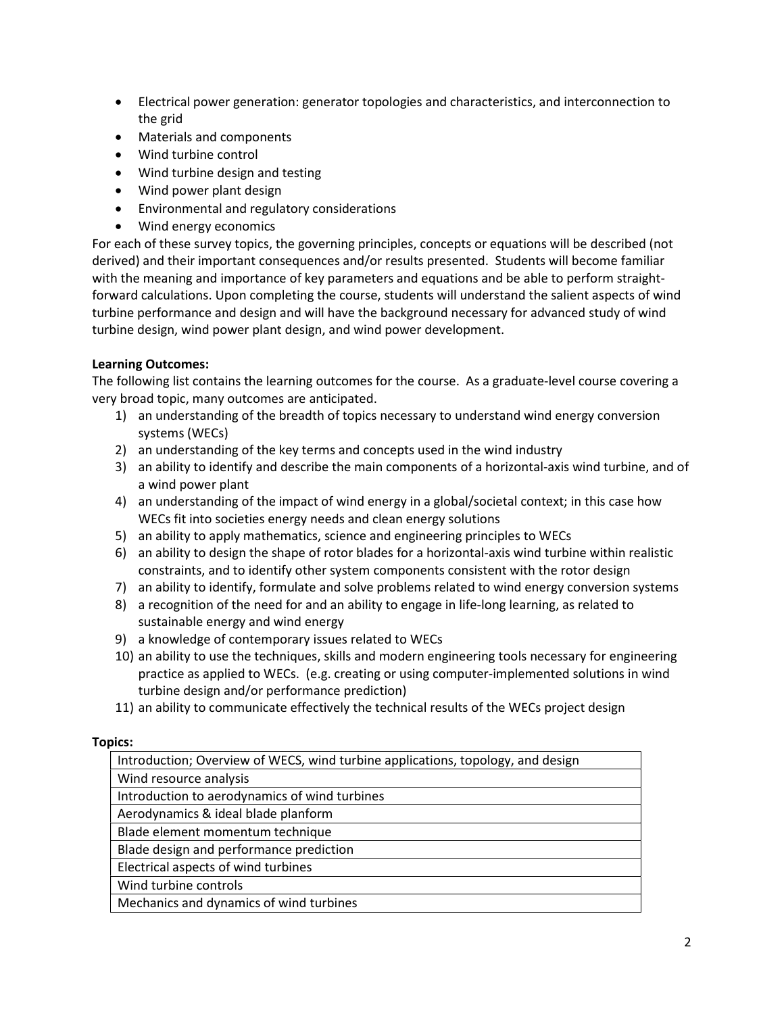- Electrical power generation: generator topologies and characteristics, and interconnection to the grid
- Materials and components
- Wind turbine control
- Wind turbine design and testing
- Wind power plant design
- Environmental and regulatory considerations
- Wind energy economics

For each of these survey topics, the governing principles, concepts or equations will be described (not derived) and their important consequences and/or results presented. Students will become familiar with the meaning and importance of key parameters and equations and be able to perform straightforward calculations. Upon completing the course, students will understand the salient aspects of wind turbine performance and design and will have the background necessary for advanced study of wind turbine design, wind power plant design, and wind power development.

## Learning Outcomes:

The following list contains the learning outcomes for the course. As a graduate-level course covering a very broad topic, many outcomes are anticipated.

- 1) an understanding of the breadth of topics necessary to understand wind energy conversion systems (WECs)
- 2) an understanding of the key terms and concepts used in the wind industry
- 3) an ability to identify and describe the main components of a horizontal-axis wind turbine, and of a wind power plant
- 4) an understanding of the impact of wind energy in a global/societal context; in this case how WECs fit into societies energy needs and clean energy solutions
- 5) an ability to apply mathematics, science and engineering principles to WECs
- 6) an ability to design the shape of rotor blades for a horizontal-axis wind turbine within realistic constraints, and to identify other system components consistent with the rotor design
- 7) an ability to identify, formulate and solve problems related to wind energy conversion systems
- 8) a recognition of the need for and an ability to engage in life-long learning, as related to sustainable energy and wind energy
- 9) a knowledge of contemporary issues related to WECs
- 10) an ability to use the techniques, skills and modern engineering tools necessary for engineering practice as applied to WECs. (e.g. creating or using computer-implemented solutions in wind turbine design and/or performance prediction)
- 11) an ability to communicate effectively the technical results of the WECs project design

# Topics:

| Introduction; Overview of WECS, wind turbine applications, topology, and design |  |
|---------------------------------------------------------------------------------|--|
| Wind resource analysis                                                          |  |
| Introduction to aerodynamics of wind turbines                                   |  |
| Aerodynamics & ideal blade planform                                             |  |
| Blade element momentum technique                                                |  |
| Blade design and performance prediction                                         |  |
| Electrical aspects of wind turbines                                             |  |
| Wind turbine controls                                                           |  |
| Mechanics and dynamics of wind turbines                                         |  |